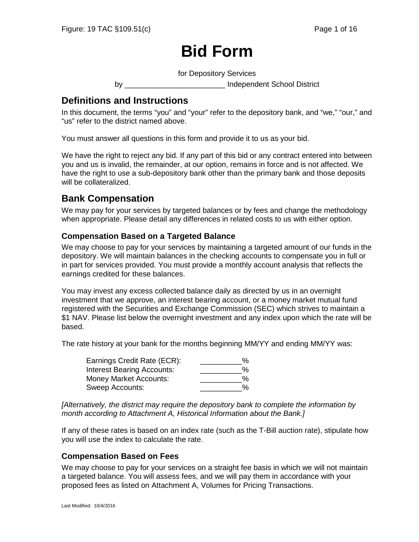# **Bid Form**

for Depository Services

by \_\_\_\_\_\_\_\_\_\_\_\_\_\_\_\_\_\_\_\_\_\_\_\_ Independent School District

# **Definitions and Instructions**

In this document, the terms "you" and "your" refer to the depository bank, and "we," "our," and "us" refer to the district named above.

You must answer all questions in this form and provide it to us as your bid.

We have the right to reject any bid. If any part of this bid or any contract entered into between you and us is invalid, the remainder, at our option, remains in force and is not affected. We have the right to use a sub-depository bank other than the primary bank and those deposits will be collateralized.

# **Bank Compensation**

We may pay for your services by targeted balances or by fees and change the methodology when appropriate. Please detail any differences in related costs to us with either option.

#### **Compensation Based on a Targeted Balance**

We may choose to pay for your services by maintaining a targeted amount of our funds in the depository. We will maintain balances in the checking accounts to compensate you in full or in part for services provided. You must provide a monthly account analysis that reflects the earnings credited for these balances.

You may invest any excess collected balance daily as directed by us in an overnight investment that we approve, an interest bearing account, or a money market mutual fund registered with the Securities and Exchange Commission (SEC) which strives to maintain a \$1 NAV. Please list below the overnight investment and any index upon which the rate will be based.

The rate history at your bank for the months beginning MM/YY and ending MM/YY was:

| Earnings Credit Rate (ECR):       | % |
|-----------------------------------|---|
| <b>Interest Bearing Accounts:</b> | % |
| Money Market Accounts:            | % |
| Sweep Accounts:                   | % |

*[Alternatively, the district may require the depository bank to complete the information by month according to Attachment A, Historical Information about the Bank.]*

If any of these rates is based on an index rate (such as the T-Bill auction rate), stipulate how you will use the index to calculate the rate.

#### **Compensation Based on Fees**

We may choose to pay for your services on a straight fee basis in which we will not maintain a targeted balance. You will assess fees, and we will pay them in accordance with your proposed fees as listed on Attachment A, Volumes for Pricing Transactions.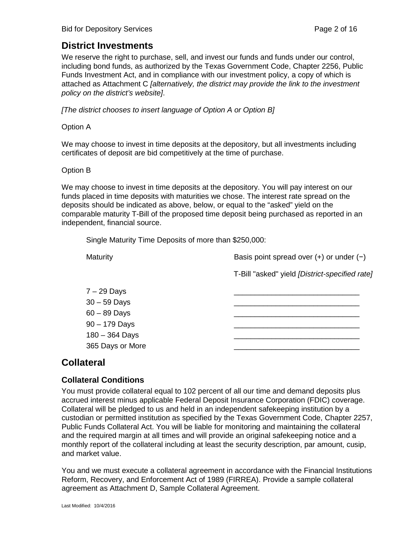# **District Investments**

We reserve the right to purchase, sell, and invest our funds and funds under our control, including bond funds, as authorized by the Texas Government Code, Chapter 2256, Public Funds Investment Act, and in compliance with our investment policy, a copy of which is attached as Attachment C *[alternatively, the district may provide the link to the investment policy on the district's website]*.

*[The district chooses to insert language of Option A or Option B]*

#### Option A

We may choose to invest in time deposits at the depository, but all investments including certificates of deposit are bid competitively at the time of purchase.

#### Option B

We may choose to invest in time deposits at the depository. You will pay interest on our funds placed in time deposits with maturities we chose. The interest rate spread on the deposits should be indicated as above, below, or equal to the "asked" yield on the comparable maturity T-Bill of the proposed time deposit being purchased as reported in an independent, financial source.

Single Maturity Time Deposits of more than \$250,000:

| Maturity                                                                                                     | Basis point spread over $(+)$ or under $(-)$   |  |  |
|--------------------------------------------------------------------------------------------------------------|------------------------------------------------|--|--|
|                                                                                                              | T-Bill "asked" yield [District-specified rate] |  |  |
| $7 - 29$ Days<br>$30 - 59$ Days<br>$60 - 89$ Days<br>$90 - 179$ Days<br>$180 - 364$ Days<br>365 Days or More |                                                |  |  |
|                                                                                                              |                                                |  |  |

## **Collateral**

#### **Collateral Conditions**

You must provide collateral equal to 102 percent of all our time and demand deposits plus accrued interest minus applicable Federal Deposit Insurance Corporation (FDIC) coverage. Collateral will be pledged to us and held in an independent safekeeping institution by a custodian or permitted institution as specified by the Texas Government Code, Chapter 2257, Public Funds Collateral Act. You will be liable for monitoring and maintaining the collateral and the required margin at all times and will provide an original safekeeping notice and a monthly report of the collateral including at least the security description, par amount, cusip, and market value.

You and we must execute a collateral agreement in accordance with the Financial Institutions Reform, Recovery, and Enforcement Act of 1989 (FIRREA). Provide a sample collateral agreement as Attachment D, Sample Collateral Agreement.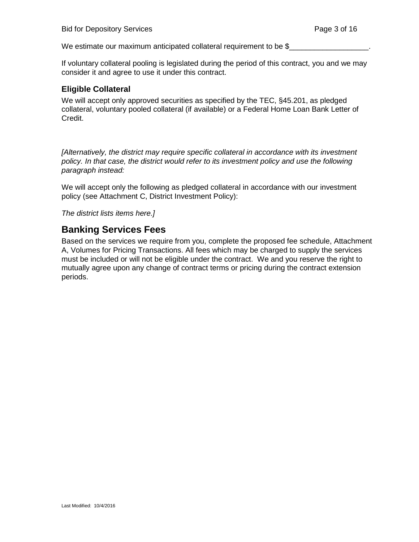We estimate our maximum anticipated collateral requirement to be \$

If voluntary collateral pooling is legislated during the period of this contract, you and we may consider it and agree to use it under this contract.

#### **Eligible Collateral**

We will accept only approved securities as specified by the TEC, §45.201, as pledged collateral, voluntary pooled collateral (if available) or a Federal Home Loan Bank Letter of Credit.

*[Alternatively, the district may require specific collateral in accordance with its investment policy. In that case, the district would refer to its investment policy and use the following paragraph instead:*

We will accept only the following as pledged collateral in accordance with our investment policy (see Attachment C, District Investment Policy):

*The district lists items here.]* 

# **Banking Services Fees**

Based on the services we require from you, complete the proposed fee schedule, Attachment A, Volumes for Pricing Transactions. All fees which may be charged to supply the services must be included or will not be eligible under the contract. We and you reserve the right to mutually agree upon any change of contract terms or pricing during the contract extension periods.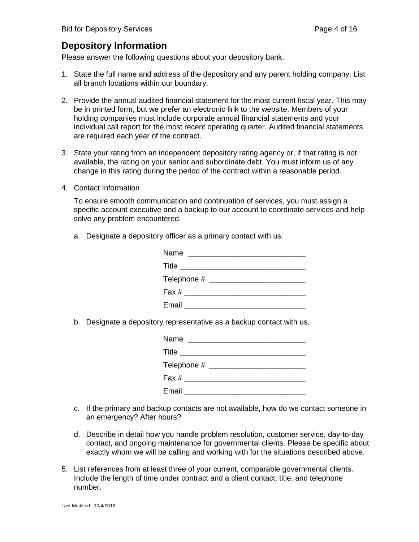# **Depository Information**

Please answer the following questions about your depository bank.

- 1. State the full name and address of the depository and any parent holding company. List all branch locations within our boundary.
- 2. Provide the annual audited financial statement for the most current fiscal year. This may be in printed form, but we prefer an electronic link to the website. Members of your holding companies must include corporate annual financial statements and your individual call report for the most recent operating quarter. Audited financial statements are required each year of the contract.
- 3. State your rating from an independent depository rating agency or, if that rating is not available, the rating on your senior and subordinate debt. You must inform us of any change in this rating during the period of the contract within a reasonable period.
- 4. Contact Information

To ensure smooth communication and continuation of services, you must assign a specific account executive and a backup to our account to coordinate services and help solve any problem encountered.

a. Designate a depository officer as a primary contact with us.

b. Designate a depository representative as a backup contact with us.

| Name                                          |  |                                          |  |
|-----------------------------------------------|--|------------------------------------------|--|
|                                               |  | Title __________________________________ |  |
|                                               |  |                                          |  |
| Fax # ______________________                  |  |                                          |  |
| Email <b>Exercise Service Service Service</b> |  |                                          |  |

- c. If the primary and backup contacts are not available, how do we contact someone in an emergency? After hours?
- d. Describe in detail how you handle problem resolution, customer service, day-to-day contact, and ongoing maintenance for governmental clients. Please be specific about exactly whom we will be calling and working with for the situations described above.
- 5. List references from at least three of your current, comparable governmental clients. Include the length of time under contract and a client contact, title, and telephone number.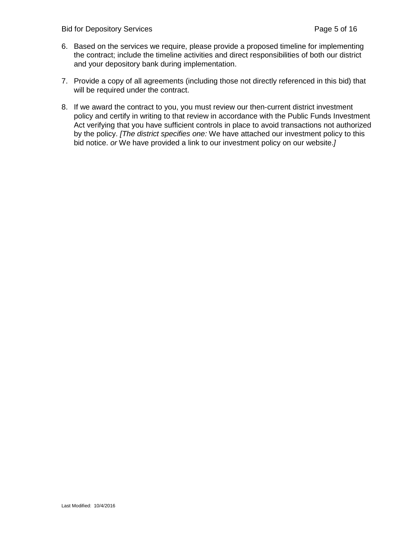- 6. Based on the services we require, please provide a proposed timeline for implementing the contract; include the timeline activities and direct responsibilities of both our district and your depository bank during implementation.
- 7. Provide a copy of all agreements (including those not directly referenced in this bid) that will be required under the contract.
- 8. If we award the contract to you, you must review our then-current district investment policy and certify in writing to that review in accordance with the Public Funds Investment Act verifying that you have sufficient controls in place to avoid transactions not authorized by the policy. *[The district specifies one:* We have attached our investment policy to this bid notice. *or* We have provided a link to our investment policy on our website.*]*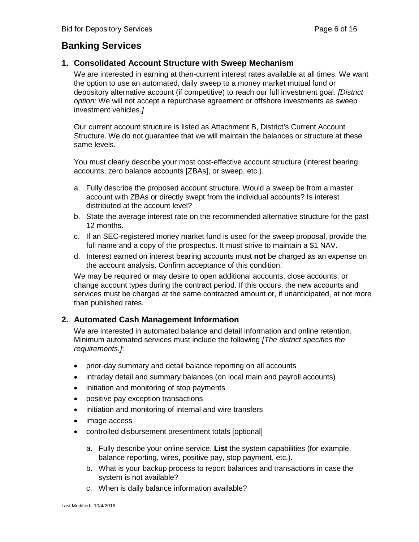# **Banking Services**

#### **1. Consolidated Account Structure with Sweep Mechanism**

We are interested in earning at then-current interest rates available at all times. We want the option to use an automated, daily sweep to a money market mutual fund or depository alternative account (if competitive) to reach our full investment goal. *[District option:* We will not accept a repurchase agreement or offshore investments as sweep investment vehicles.*]*

Our current account structure is listed as Attachment B, District's Current Account Structure. We do not guarantee that we will maintain the balances or structure at these same levels.

You must clearly describe your most cost-effective account structure (interest bearing accounts, zero balance accounts [ZBAs], or sweep, etc.).

- a. Fully describe the proposed account structure. Would a sweep be from a master account with ZBAs or directly swept from the individual accounts? Is interest distributed at the account level?
- b. State the average interest rate on the recommended alternative structure for the past 12 months.
- c. If an SEC-registered money market fund is used for the sweep proposal, provide the full name and a copy of the prospectus. It must strive to maintain a \$1 NAV.
- d. Interest earned on interest bearing accounts must **not** be charged as an expense on the account analysis. Confirm acceptance of this condition.

We may be required or may desire to open additional accounts, close accounts, or change account types during the contract period. If this occurs, the new accounts and services must be charged at the same contracted amount or, if unanticipated, at not more than published rates.

#### **2. Automated Cash Management Information**

We are interested in automated balance and detail information and online retention. Minimum automated services must include the following *[The district specifies the requirements.]*:

- prior-day summary and detail balance reporting on all accounts
- intraday detail and summary balances (on local main and payroll accounts)
- initiation and monitoring of stop payments
- positive pay exception transactions
- initiation and monitoring of internal and wire transfers
- image access
- controlled disbursement presentment totals [optional]
	- a. Fully describe your online service. **List** the system capabilities (for example, balance reporting, wires, positive pay, stop payment, etc.).
	- b. What is your backup process to report balances and transactions in case the system is not available?
	- c. When is daily balance information available?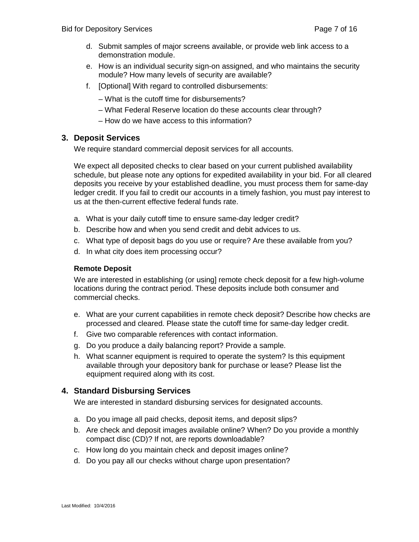- d. Submit samples of major screens available, or provide web link access to a demonstration module.
- e. How is an individual security sign-on assigned, and who maintains the security module? How many levels of security are available?
- f. [Optional] With regard to controlled disbursements:
	- What is the cutoff time for disbursements?
	- What Federal Reserve location do these accounts clear through?
	- How do we have access to this information?

#### **3. Deposit Services**

We require standard commercial deposit services for all accounts.

We expect all deposited checks to clear based on your current published availability schedule, but please note any options for expedited availability in your bid. For all cleared deposits you receive by your established deadline, you must process them for same-day ledger credit. If you fail to credit our accounts in a timely fashion, you must pay interest to us at the then-current effective federal funds rate.

- a. What is your daily cutoff time to ensure same-day ledger credit?
- b. Describe how and when you send credit and debit advices to us.
- c. What type of deposit bags do you use or require? Are these available from you?
- d. In what city does item processing occur?

#### **Remote Deposit**

We are interested in establishing (or using) remote check deposit for a few high-volume locations during the contract period. These deposits include both consumer and commercial checks.

- e. What are your current capabilities in remote check deposit? Describe how checks are processed and cleared. Please state the cutoff time for same-day ledger credit.
- f. Give two comparable references with contact information.
- g. Do you produce a daily balancing report? Provide a sample.
- h. What scanner equipment is required to operate the system? Is this equipment available through your depository bank for purchase or lease? Please list the equipment required along with its cost.

#### **4. Standard Disbursing Services**

We are interested in standard disbursing services for designated accounts.

- a. Do you image all paid checks, deposit items, and deposit slips?
- b. Are check and deposit images available online? When? Do you provide a monthly compact disc (CD)? If not, are reports downloadable?
- c. How long do you maintain check and deposit images online?
- d. Do you pay all our checks without charge upon presentation?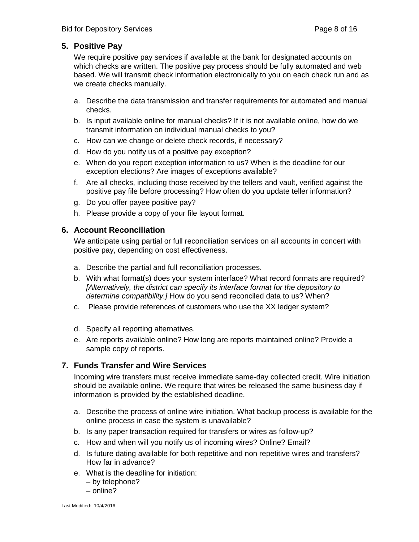#### **5. Positive Pay**

We require positive pay services if available at the bank for designated accounts on which checks are written. The positive pay process should be fully automated and web based. We will transmit check information electronically to you on each check run and as we create checks manually.

- a. Describe the data transmission and transfer requirements for automated and manual checks.
- b. Is input available online for manual checks? If it is not available online, how do we transmit information on individual manual checks to you?
- c. How can we change or delete check records, if necessary?
- d. How do you notify us of a positive pay exception?
- e. When do you report exception information to us? When is the deadline for our exception elections? Are images of exceptions available?
- f. Are all checks, including those received by the tellers and vault, verified against the positive pay file before processing? How often do you update teller information?
- g. Do you offer payee positive pay?
- h. Please provide a copy of your file layout format.

#### **6. Account Reconciliation**

We anticipate using partial or full reconciliation services on all accounts in concert with positive pay, depending on cost effectiveness.

- a. Describe the partial and full reconciliation processes.
- b. With what format(s) does your system interface? What record formats are required? *[Alternatively, the district can specify its interface format for the depository to determine compatibility.]* How do you send reconciled data to us? When?
- c. Please provide references of customers who use the XX ledger system?
- d. Specify all reporting alternatives.
- e. Are reports available online? How long are reports maintained online? Provide a sample copy of reports.

#### **7. Funds Transfer and Wire Services**

Incoming wire transfers must receive immediate same-day collected credit. Wire initiation should be available online. We require that wires be released the same business day if information is provided by the established deadline.

- a. Describe the process of online wire initiation. What backup process is available for the online process in case the system is unavailable?
- b. Is any paper transaction required for transfers or wires as follow-up?
- c. How and when will you notify us of incoming wires? Online? Email?
- d. Is future dating available for both repetitive and non repetitive wires and transfers? How far in advance?
- e. What is the deadline for initiation:
	- by telephone?
	- online?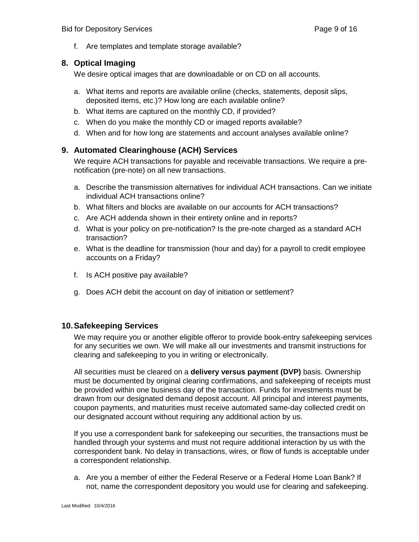f. Are templates and template storage available?

#### **8. Optical Imaging**

We desire optical images that are downloadable or on CD on all accounts.

- a. What items and reports are available online (checks, statements, deposit slips, deposited items, etc.)? How long are each available online?
- b. What items are captured on the monthly CD, if provided?
- c. When do you make the monthly CD or imaged reports available?
- d. When and for how long are statements and account analyses available online?

#### **9. Automated Clearinghouse (ACH) Services**

We require ACH transactions for payable and receivable transactions. We require a prenotification (pre-note) on all new transactions.

- a. Describe the transmission alternatives for individual ACH transactions. Can we initiate individual ACH transactions online?
- b. What filters and blocks are available on our accounts for ACH transactions?
- c. Are ACH addenda shown in their entirety online and in reports?
- d. What is your policy on pre-notification? Is the pre-note charged as a standard ACH transaction?
- e. What is the deadline for transmission (hour and day) for a payroll to credit employee accounts on a Friday?
- f. Is ACH positive pay available?
- g. Does ACH debit the account on day of initiation or settlement?

#### **10.Safekeeping Services**

We may require you or another eligible offeror to provide book-entry safekeeping services for any securities we own. We will make all our investments and transmit instructions for clearing and safekeeping to you in writing or electronically.

All securities must be cleared on a **delivery versus payment (DVP)** basis. Ownership must be documented by original clearing confirmations, and safekeeping of receipts must be provided within one business day of the transaction. Funds for investments must be drawn from our designated demand deposit account. All principal and interest payments, coupon payments, and maturities must receive automated same-day collected credit on our designated account without requiring any additional action by us.

If you use a correspondent bank for safekeeping our securities, the transactions must be handled through your systems and must not require additional interaction by us with the correspondent bank. No delay in transactions, wires, or flow of funds is acceptable under a correspondent relationship.

a. Are you a member of either the Federal Reserve or a Federal Home Loan Bank? If not, name the correspondent depository you would use for clearing and safekeeping.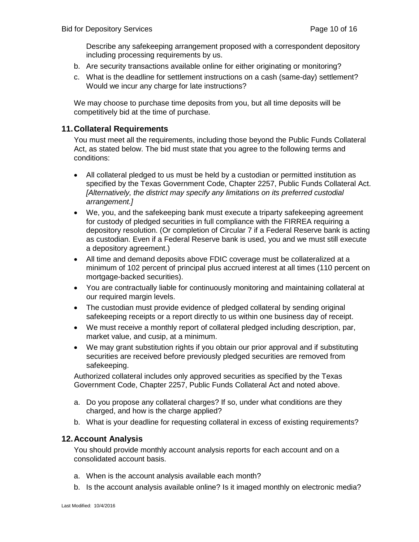Describe any safekeeping arrangement proposed with a correspondent depository including processing requirements by us.

- b. Are security transactions available online for either originating or monitoring?
- c. What is the deadline for settlement instructions on a cash (same-day) settlement? Would we incur any charge for late instructions?

We may choose to purchase time deposits from you, but all time deposits will be competitively bid at the time of purchase.

#### **11.Collateral Requirements**

You must meet all the requirements, including those beyond the Public Funds Collateral Act, as stated below. The bid must state that you agree to the following terms and conditions:

- All collateral pledged to us must be held by a custodian or permitted institution as specified by the Texas Government Code, Chapter 2257, Public Funds Collateral Act. *[Alternatively, the district may specify any limitations on its preferred custodial arrangement.]*
- We, you, and the safekeeping bank must execute a triparty safekeeping agreement for custody of pledged securities in full compliance with the FIRREA requiring a depository resolution. (Or completion of Circular 7 if a Federal Reserve bank is acting as custodian. Even if a Federal Reserve bank is used, you and we must still execute a depository agreement.)
- All time and demand deposits above FDIC coverage must be collateralized at a minimum of 102 percent of principal plus accrued interest at all times (110 percent on mortgage-backed securities).
- You are contractually liable for continuously monitoring and maintaining collateral at our required margin levels.
- The custodian must provide evidence of pledged collateral by sending original safekeeping receipts or a report directly to us within one business day of receipt.
- We must receive a monthly report of collateral pledged including description, par, market value, and cusip, at a minimum.
- We may grant substitution rights if you obtain our prior approval and if substituting securities are received before previously pledged securities are removed from safekeeping.

Authorized collateral includes only approved securities as specified by the Texas Government Code, Chapter 2257, Public Funds Collateral Act and noted above.

- a. Do you propose any collateral charges? If so, under what conditions are they charged, and how is the charge applied?
- b. What is your deadline for requesting collateral in excess of existing requirements?

#### **12.Account Analysis**

You should provide monthly account analysis reports for each account and on a consolidated account basis.

- a. When is the account analysis available each month?
- b. Is the account analysis available online? Is it imaged monthly on electronic media?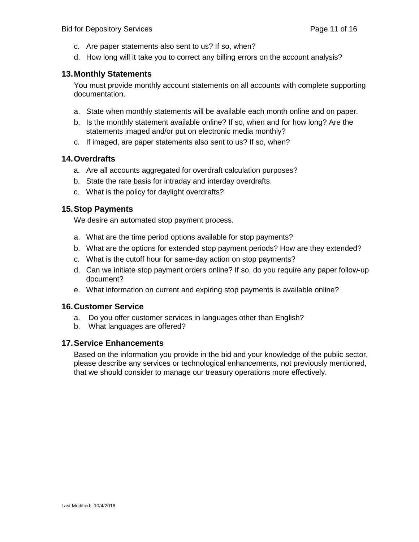- c. Are paper statements also sent to us? If so, when?
- d. How long will it take you to correct any billing errors on the account analysis?

#### **13.Monthly Statements**

You must provide monthly account statements on all accounts with complete supporting documentation.

- a. State when monthly statements will be available each month online and on paper.
- b. Is the monthly statement available online? If so, when and for how long? Are the statements imaged and/or put on electronic media monthly?
- c. If imaged, are paper statements also sent to us? If so, when?

#### **14.Overdrafts**

- a. Are all accounts aggregated for overdraft calculation purposes?
- b. State the rate basis for intraday and interday overdrafts.
- c. What is the policy for daylight overdrafts?

#### **15.Stop Payments**

We desire an automated stop payment process.

- a. What are the time period options available for stop payments?
- b. What are the options for extended stop payment periods? How are they extended?
- c. What is the cutoff hour for same-day action on stop payments?
- d. Can we initiate stop payment orders online? If so, do you require any paper follow-up document?
- e. What information on current and expiring stop payments is available online?

#### **16.Customer Service**

- a. Do you offer customer services in languages other than English?
- b. What languages are offered?

#### **17.Service Enhancements**

Based on the information you provide in the bid and your knowledge of the public sector, please describe any services or technological enhancements, not previously mentioned, that we should consider to manage our treasury operations more effectively.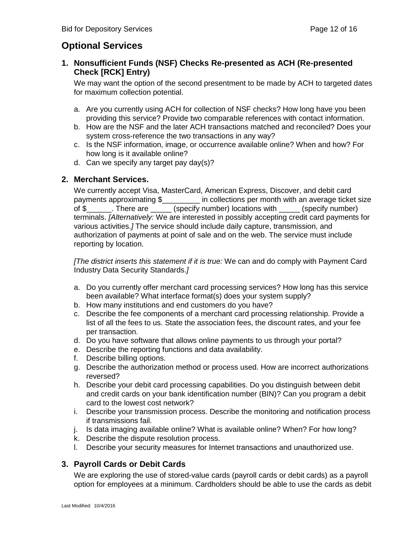# **Optional Services**

## **1. Nonsufficient Funds (NSF) Checks Re-presented as ACH (Re-presented Check [RCK] Entry)**

We may want the option of the second presentment to be made by ACH to targeted dates for maximum collection potential.

- a. Are you currently using ACH for collection of NSF checks? How long have you been providing this service? Provide two comparable references with contact information.
- b. How are the NSF and the later ACH transactions matched and reconciled? Does your system cross-reference the two transactions in any way?
- c. Is the NSF information, image, or occurrence available online? When and how? For how long is it available online?
- d. Can we specify any target pay day(s)?

## **2. Merchant Services.**

We currently accept Visa, MasterCard, American Express, Discover, and debit card payments approximating \$\_\_\_\_\_\_\_\_\_ in collections per month with an average ticket size of \$\_\_\_\_\_\_. There are \_\_\_\_\_ (specify number) locations with \_\_\_\_\_ (specify number) terminals. *[Alternatively:* We are interested in possibly accepting credit card payments for various activities.*]* The service should include daily capture, transmission, and authorization of payments at point of sale and on the web. The service must include reporting by location.

*[The district inserts this statement if it is true:* We can and do comply with Payment Card Industry Data Security Standards.*]*

- a. Do you currently offer merchant card processing services? How long has this service been available? What interface format(s) does your system supply?
- b. How many institutions and end customers do you have?
- c. Describe the fee components of a merchant card processing relationship. Provide a list of all the fees to us. State the association fees, the discount rates, and your fee per transaction.
- d. Do you have software that allows online payments to us through your portal?
- e. Describe the reporting functions and data availability.
- f. Describe billing options.
- g. Describe the authorization method or process used. How are incorrect authorizations reversed?
- h. Describe your debit card processing capabilities. Do you distinguish between debit and credit cards on your bank identification number (BIN)? Can you program a debit card to the lowest cost network?
- i. Describe your transmission process. Describe the monitoring and notification process if transmissions fail.
- j. Is data imaging available online? What is available online? When? For how long?
- k. Describe the dispute resolution process.
- l. Describe your security measures for Internet transactions and unauthorized use.

## **3. Payroll Cards or Debit Cards**

We are exploring the use of stored-value cards (payroll cards or debit cards) as a payroll option for employees at a minimum. Cardholders should be able to use the cards as debit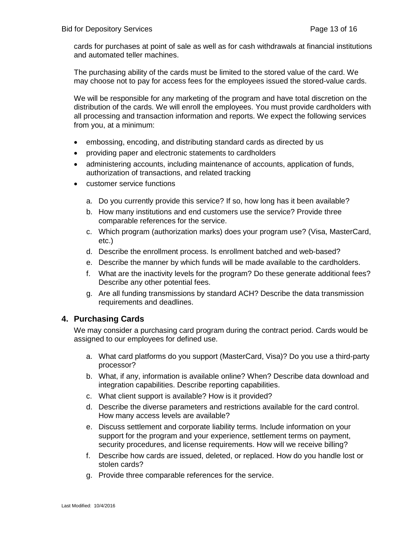cards for purchases at point of sale as well as for cash withdrawals at financial institutions and automated teller machines.

The purchasing ability of the cards must be limited to the stored value of the card. We may choose not to pay for access fees for the employees issued the stored-value cards.

We will be responsible for any marketing of the program and have total discretion on the distribution of the cards. We will enroll the employees. You must provide cardholders with all processing and transaction information and reports. We expect the following services from you, at a minimum:

- embossing, encoding, and distributing standard cards as directed by us
- providing paper and electronic statements to cardholders
- administering accounts, including maintenance of accounts, application of funds, authorization of transactions, and related tracking
- customer service functions
	- a. Do you currently provide this service? If so, how long has it been available?
	- b. How many institutions and end customers use the service? Provide three comparable references for the service.
	- c. Which program (authorization marks) does your program use? (Visa, MasterCard, etc.)
	- d. Describe the enrollment process. Is enrollment batched and web-based?
	- e. Describe the manner by which funds will be made available to the cardholders.
	- f. What are the inactivity levels for the program? Do these generate additional fees? Describe any other potential fees.
	- g. Are all funding transmissions by standard ACH? Describe the data transmission requirements and deadlines.

#### **4. Purchasing Cards**

We may consider a purchasing card program during the contract period. Cards would be assigned to our employees for defined use.

- a. What card platforms do you support (MasterCard, Visa)? Do you use a third-party processor?
- b. What, if any, information is available online? When? Describe data download and integration capabilities. Describe reporting capabilities.
- c. What client support is available? How is it provided?
- d. Describe the diverse parameters and restrictions available for the card control. How many access levels are available?
- e. Discuss settlement and corporate liability terms. Include information on your support for the program and your experience, settlement terms on payment, security procedures, and license requirements. How will we receive billing?
- f. Describe how cards are issued, deleted, or replaced. How do you handle lost or stolen cards?
- g. Provide three comparable references for the service.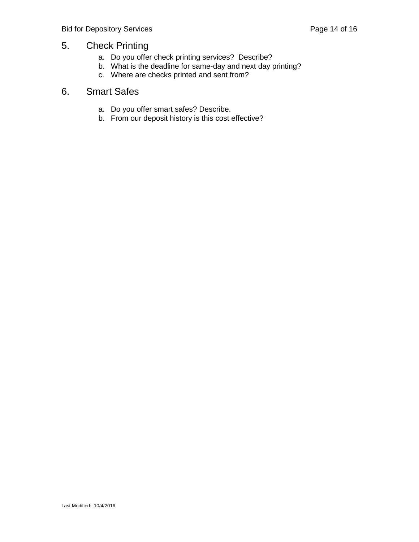# 5. Check Printing

- a. Do you offer check printing services? Describe?
- b. What is the deadline for same-day and next day printing?
- c. Where are checks printed and sent from?

# 6. Smart Safes

- a. Do you offer smart safes? Describe.
- b. From our deposit history is this cost effective?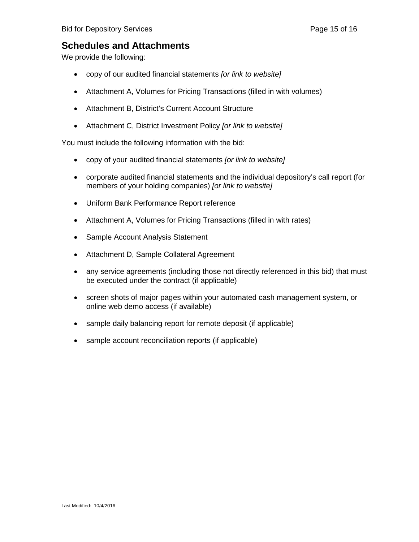# **Schedules and Attachments**

We provide the following:

- copy of our audited financial statements *[or link to website]*
- Attachment A, Volumes for Pricing Transactions (filled in with volumes)
- Attachment B, District's Current Account Structure
- Attachment C, District Investment Policy *[or link to website]*

You must include the following information with the bid:

- copy of your audited financial statements *[or link to website]*
- corporate audited financial statements and the individual depository's call report (for members of your holding companies) *[or link to website]*
- Uniform Bank Performance Report reference
- Attachment A, Volumes for Pricing Transactions (filled in with rates)
- Sample Account Analysis Statement
- Attachment D, Sample Collateral Agreement
- any service agreements (including those not directly referenced in this bid) that must be executed under the contract (if applicable)
- screen shots of major pages within your automated cash management system, or online web demo access (if available)
- sample daily balancing report for remote deposit (if applicable)
- sample account reconciliation reports (if applicable)